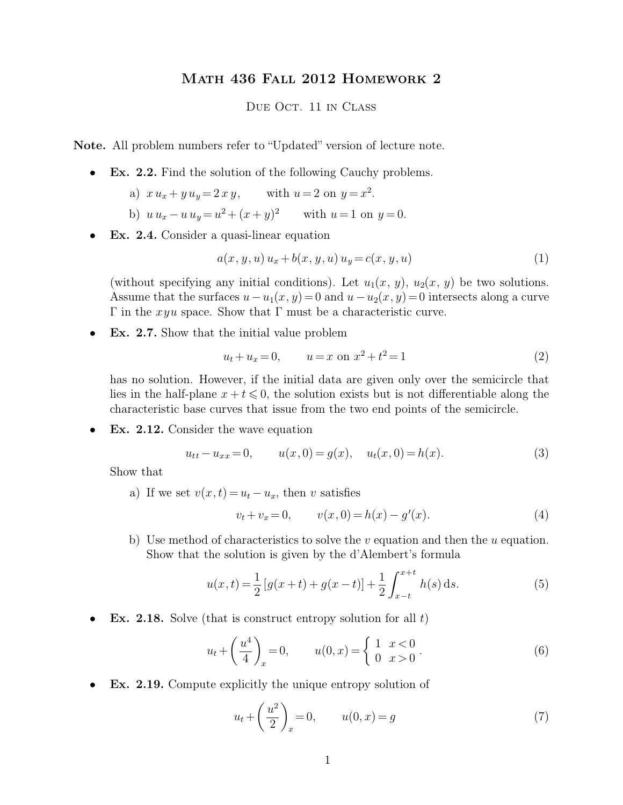## Math 436 Fall 2012 Homework 2

## DUE OCT. 11 IN CLASS

**Note.** All problem numbers refer to "Updated" version of lecture note.

- **Ex. 2.2.** Find the solution of the following Cauchy problems.
	- a)  $x u_x + y u_y = 2 x y$ , with  $u = 2$  on  $y = x^2$ .
	- b)  $u u_x u u_y = u^2 + (x + y)^2$  with  $u = 1$  on  $y = 0$ .
- **Ex. 2.4.** Consider a quasi-linear equation

$$
a(x, y, u) u_x + b(x, y, u) u_y = c(x, y, u)
$$
\n(1)

(without specifying any initial conditions). Let  $u_1(x, y)$ ,  $u_2(x, y)$  be two solutions. Assume that the surfaces  $u - u_1(x, y) = 0$  and  $u - u_2(x, y) = 0$  intersects along a curve Γ in the *xyu* space. Show that Γ must be a characteristic curve.

• **Ex. 2.7.** Show that the initial value problem

$$
u_t + u_x = 0, \qquad u = x \text{ on } x^2 + t^2 = 1 \tag{2}
$$

has no solution. However, if the initial data are given only over the semicircle that lies in the half-plane  $x + t \leq 0$ , the solution exists but is not differentiable along the characteristic base curves that issue from the two end points of the semicircle.

• **Ex. 2.12.** Consider the wave equation

$$
u_{tt} - u_{xx} = 0, \t u(x,0) = g(x), \t u_t(x,0) = h(x). \t(3)
$$

Show that

a) If we set  $v(x,t) = u_t - u_x$ , then v satisfies

$$
v_t + v_x = 0, \qquad v(x, 0) = h(x) - g'(x). \tag{4}
$$

b) Use method of characteristics to solve the  $v$  equation and then the  $u$  equation. Show that the solution is given by the d'Alembert's formula

$$
u(x,t) = \frac{1}{2} \left[ g(x+t) + g(x-t) \right] + \frac{1}{2} \int_{x-t}^{x+t} h(s) \,ds. \tag{5}
$$

• **Ex. 2.18.** Solve (that is construct entropy solution for all  $t$ )

$$
u_t + \left(\frac{u^4}{4}\right)_x = 0, \qquad u(0, x) = \begin{cases} 1 & x < 0 \\ 0 & x > 0 \end{cases}.
$$
 (6)

• **Ex. 2.19.** Compute explicitly the unique entropy solution of

$$
u_t + \left(\frac{u^2}{2}\right)_x = 0, \qquad u(0, x) = g \tag{7}
$$